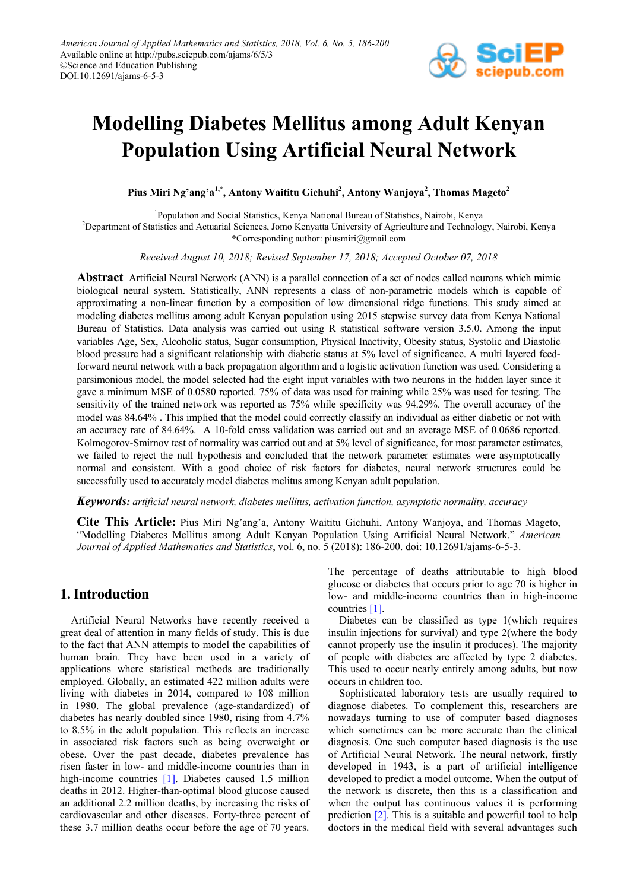

# **Modelling Diabetes Mellitus among Adult Kenyan Population Using Artificial Neural Network**

**Pius Miri Ng'ang'a1,\*, Antony Waititu Gichuhi2 , Antony Wanjoya<sup>2</sup> , Thomas Mageto<sup>2</sup>**

1 Population and Social Statistics, Kenya National Bureau of Statistics, Nairobi, Kenya

2 Department of Statistics and Actuarial Sciences, Jomo Kenyatta University of Agriculture and Technology, Nairobi, Kenya \*Corresponding author: piusmiri@gmail.com

*Received August 10, 2018; Revised September 17, 2018; Accepted October 07, 2018*

**Abstract** Artificial Neural Network (ANN) is a parallel connection of a set of nodes called neurons which mimic biological neural system. Statistically, ANN represents a class of non-parametric models which is capable of approximating a non-linear function by a composition of low dimensional ridge functions. This study aimed at modeling diabetes mellitus among adult Kenyan population using 2015 stepwise survey data from Kenya National Bureau of Statistics. Data analysis was carried out using R statistical software version 3.5.0. Among the input variables Age, Sex, Alcoholic status, Sugar consumption, Physical Inactivity, Obesity status, Systolic and Diastolic blood pressure had a significant relationship with diabetic status at 5% level of significance. A multi layered feedforward neural network with a back propagation algorithm and a logistic activation function was used. Considering a parsimonious model, the model selected had the eight input variables with two neurons in the hidden layer since it gave a minimum MSE of 0.0580 reported. 75% of data was used for training while 25% was used for testing. The sensitivity of the trained network was reported as 75% while specificity was 94.29%. The overall accuracy of the model was 84.64% . This implied that the model could correctly classify an individual as either diabetic or not with an accuracy rate of 84.64%. A 10-fold cross validation was carried out and an average MSE of 0.0686 reported. Kolmogorov-Smirnov test of normality was carried out and at 5% level of significance, for most parameter estimates, we failed to reject the null hypothesis and concluded that the network parameter estimates were asymptotically normal and consistent. With a good choice of risk factors for diabetes, neural network structures could be successfully used to accurately model diabetes melitus among Kenyan adult population.

*Keywords: artificial neural network, diabetes mellitus, activation function, asymptotic normality, accuracy*

**Cite This Article:** Pius Miri Ng'ang'a, Antony Waititu Gichuhi, Antony Wanjoya, and Thomas Mageto, "Modelling Diabetes Mellitus among Adult Kenyan Population Using Artificial Neural Network." *American Journal of Applied Mathematics and Statistics*, vol. 6, no. 5 (2018): 186-200. doi: 10.12691/ajams-6-5-3.

# **1. Introduction**

Artificial Neural Networks have recently received a great deal of attention in many fields of study. This is due to the fact that ANN attempts to model the capabilities of human brain. They have been used in a variety of applications where statistical methods are traditionally employed. Globally, an estimated 422 million adults were living with diabetes in 2014, compared to 108 million in 1980. The global prevalence (age-standardized) of diabetes has nearly doubled since 1980, rising from 4.7% to 8.5% in the adult population. This reflects an increase in associated risk factors such as being overweight or obese. Over the past decade, diabetes prevalence has risen faster in low- and middle-income countries than in high-income countries [\[1\].](#page-14-0) Diabetes caused 1.5 million deaths in 2012. Higher-than-optimal blood glucose caused an additional 2.2 million deaths, by increasing the risks of cardiovascular and other diseases. Forty-three percent of these 3.7 million deaths occur before the age of 70 years.

The percentage of deaths attributable to high blood glucose or diabetes that occurs prior to age 70 is higher in low- and middle-income countries than in high-income countries [\[1\].](#page-14-0)

Diabetes can be classified as type 1(which requires insulin injections for survival) and type 2(where the body cannot properly use the insulin it produces). The majority of people with diabetes are affected by type 2 diabetes. This used to occur nearly entirely among adults, but now occurs in children too.

Sophisticated laboratory tests are usually required to diagnose diabetes. To complement this, researchers are nowadays turning to use of computer based diagnoses which sometimes can be more accurate than the clinical diagnosis. One such computer based diagnosis is the use of Artificial Neural Network. The neural network, firstly developed in 1943, is a part of artificial intelligence developed to predict a model outcome. When the output of the network is discrete, then this is a classification and when the output has continuous values it is performing prediction [\[2\].](#page-14-1) This is a suitable and powerful tool to help doctors in the medical field with several advantages such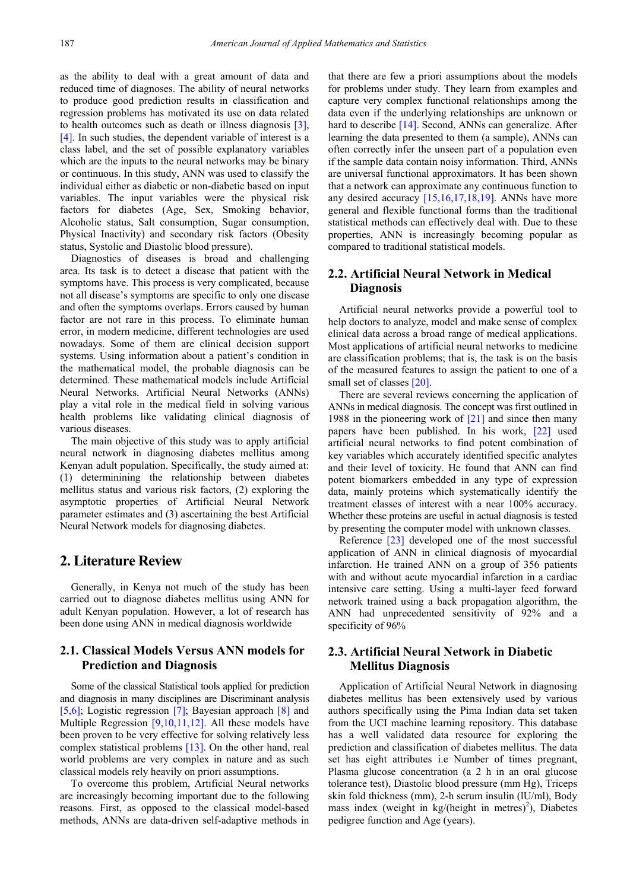as the ability to deal with a great amount of data and reduced time of diagnoses. The ability of neural networks to produce good prediction results in classification and regression problems has motivated its use on data related to health outcomes such as death or illness diagnosis [\[3\],](#page-14-2) [\[4\].](#page-14-3) In such studies, the dependent variable of interest is a class label, and the set of possible explanatory variables which are the inputs to the neural networks may be binary or continuous. In this study, ANN was used to classify the individual either as diabetic or non-diabetic based on input variables. The input variables were the physical risk factors for diabetes (Age, Sex, Smoking behavior, Alcoholic status, Salt consumption, Sugar consumption, Physical Inactivity) and secondary risk factors (Obesity status, Systolic and Diastolic blood pressure).

Diagnostics of diseases is broad and challenging area. Its task is to detect a disease that patient with the symptoms have. This process is very complicated, because not all disease's symptoms are specific to only one disease and often the symptoms overlaps. Errors caused by human factor are not rare in this process. To eliminate human error, in modern medicine, different technologies are used nowadays. Some of them are clinical decision support systems. Using information about a patient's condition in the mathematical model, the probable diagnosis can be determined. These mathematical models include Artificial Neural Networks. Artificial Neural Networks (ANNs) play a vital role in the medical field in solving various health problems like validating clinical diagnosis of various diseases.

The main objective of this study was to apply artificial neural network in diagnosing diabetes mellitus among Kenyan adult population. Specifically, the study aimed at: (1) determinining the relationship between diabetes mellitus status and various risk factors, (2) exploring the asymptotic properties of Artificial Neural Network parameter estimates and (3) ascertaining the best Artificial Neural Network models for diagnosing diabetes.

# **2. Literature Review**

Generally, in Kenya not much of the study has been carried out to diagnose diabetes mellitus using ANN for adult Kenyan population. However, a lot of research has been done using ANN in medical diagnosis worldwide

### **2.1. Classical Models Versus ANN models for Prediction and Diagnosis**

Some of the classical Statistical tools applied for prediction and diagnosis in many disciplines are Discriminant analysis [\[5,6\];](#page-14-4) Logistic regression [\[7\];](#page-14-5) Bayesian approach [\[8\]](#page-14-6) and Multiple Regression [\[9,10,11,12\].](#page-14-7) All these models have been proven to be very effective for solving relatively less complex statistical problems [\[13\].](#page-14-8) On the other hand, real world problems are very complex in nature and as such classical models rely heavily on priori assumptions.

To overcome this problem, Artificial Neural networks are increasingly becoming important due to the following reasons. First, as opposed to the classical model-based methods, ANNs are data-driven self-adaptive methods in that there are few a priori assumptions about the models for problems under study. They learn from examples and capture very complex functional relationships among the data even if the underlying relationships are unknown or hard to describe [\[14\].](#page-14-9) Second, ANNs can generalize. After learning the data presented to them (a sample), ANNs can often correctly infer the unseen part of a population even if the sample data contain noisy information. Third, ANNs are universal functional approximators. It has been shown that a network can approximate any continuous function to any desired accuracy [\[15,16,17,18,19\].](#page-14-10) ANNs have more general and flexible functional forms than the traditional statistical methods can effectively deal with. Due to these properties, ANN is increasingly becoming popular as compared to traditional statistical models.

## **2.2. Artificial Neural Network in Medical Diagnosis**

Artificial neural networks provide a powerful tool to help doctors to analyze, model and make sense of complex clinical data across a broad range of medical applications. Most applications of artificial neural networks to medicine are classification problems; that is, the task is on the basis of the measured features to assign the patient to one of a small set of classes [\[20\].](#page-14-11)

There are several reviews concerning the application of ANNs in medical diagnosis. The concept was first outlined in 1988 in the pioneering work of [\[21\]](#page-14-12) and since then many papers have been published. In his work, [\[22\]](#page-14-13) used artificial neural networks to find potent combination of key variables which accurately identified specific analytes and their level of toxicity. He found that ANN can find potent biomarkers embedded in any type of expression data, mainly proteins which systematically identify the treatment classes of interest with a near 100% accuracy. Whether these proteins are useful in actual diagnosis is tested by presenting the computer model with unknown classes.

Reference [\[23\]](#page-14-14) developed one of the most successful application of ANN in clinical diagnosis of myocardial infarction. He trained ANN on a group of 356 patients with and without acute myocardial infarction in a cardiac intensive care setting. Using a multi-layer feed forward network trained using a back propagation algorithm, the ANN had unprecedented sensitivity of 92% and a specificity of 96%

### **2.3. Artificial Neural Network in Diabetic Mellitus Diagnosis**

Application of Artificial Neural Network in diagnosing diabetes mellitus has been extensively used by various authors specifically using the Pima Indian data set taken from the UCI machine learning repository. This database has a well validated data resource for exploring the prediction and classification of diabetes mellitus. The data set has eight attributes i.e Number of times pregnant, Plasma glucose concentration (a 2 h in an oral glucose tolerance test), Diastolic blood pressure (mm Hg), Triceps skin fold thickness (mm), 2-h serum insulin (lU/ml), Body mass index (weight in  $kg/(height in metres)^2)$ , Diabetes pedigree function and Age (years).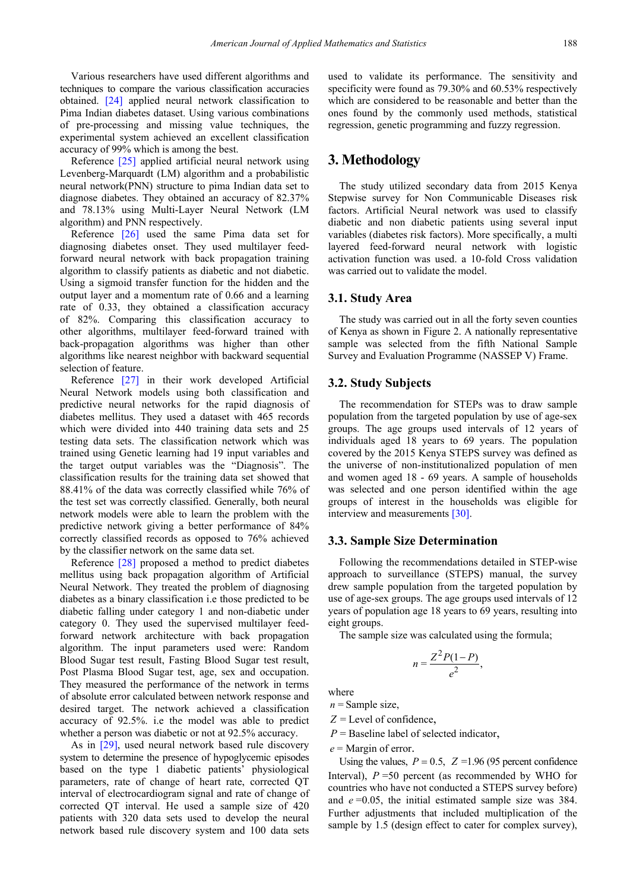Various researchers have used different algorithms and techniques to compare the various classification accuracies obtained. [\[24\]](#page-14-15) applied neural network classification to Pima Indian diabetes dataset. Using various combinations of pre-processing and missing value techniques, the experimental system achieved an excellent classification accuracy of 99% which is among the best.

Reference [\[25\]](#page-14-16) applied artificial neural network using Levenberg-Marquardt (LM) algorithm and a probabilistic neural network(PNN) structure to pima Indian data set to diagnose diabetes. They obtained an accuracy of 82.37% and 78.13% using Multi-Layer Neural Network (LM algorithm) and PNN respectively.

Reference [\[26\]](#page-14-17) used the same Pima data set for diagnosing diabetes onset. They used multilayer feedforward neural network with back propagation training algorithm to classify patients as diabetic and not diabetic. Using a sigmoid transfer function for the hidden and the output layer and a momentum rate of 0.66 and a learning rate of 0.33, they obtained a classification accuracy of 82%. Comparing this classification accuracy to other algorithms, multilayer feed-forward trained with back-propagation algorithms was higher than other algorithms like nearest neighbor with backward sequential selection of feature.

Reference [\[27\]](#page-14-18) in their work developed Artificial Neural Network models using both classification and predictive neural networks for the rapid diagnosis of diabetes mellitus. They used a dataset with 465 records which were divided into 440 training data sets and 25 testing data sets. The classification network which was trained using Genetic learning had 19 input variables and the target output variables was the "Diagnosis". The classification results for the training data set showed that 88.41% of the data was correctly classified while 76% of the test set was correctly classified. Generally, both neural network models were able to learn the problem with the predictive network giving a better performance of 84% correctly classified records as opposed to 76% achieved by the classifier network on the same data set.

Reference [\[28\]](#page-14-19) proposed a method to predict diabetes mellitus using back propagation algorithm of Artificial Neural Network. They treated the problem of diagnosing diabetes as a binary classification i.e those predicted to be diabetic falling under category 1 and non-diabetic under category 0. They used the supervised multilayer feedforward network architecture with back propagation algorithm. The input parameters used were: Random Blood Sugar test result, Fasting Blood Sugar test result, Post Plasma Blood Sugar test, age, sex and occupation. They measured the performance of the network in terms of absolute error calculated between network response and desired target. The network achieved a classification accuracy of 92.5%. i.e the model was able to predict whether a person was diabetic or not at 92.5% accuracy.

As in [\[29\],](#page-14-20) used neural network based rule discovery system to determine the presence of hypoglycemic episodes based on the type 1 diabetic patients' physiological parameters, rate of change of heart rate, corrected QT interval of electrocardiogram signal and rate of change of corrected QT interval. He used a sample size of 420 patients with 320 data sets used to develop the neural network based rule discovery system and 100 data sets

used to validate its performance. The sensitivity and specificity were found as 79.30% and 60.53% respectively which are considered to be reasonable and better than the ones found by the commonly used methods, statistical regression, genetic programming and fuzzy regression.

# **3. Methodology**

The study utilized secondary data from 2015 Kenya Stepwise survey for Non Communicable Diseases risk factors. Artificial Neural network was used to classify diabetic and non diabetic patients using several input variables (diabetes risk factors). More specifically, a multi layered feed-forward neural network with logistic activation function was used. a 10-fold Cross validation was carried out to validate the model.

#### **3.1. Study Area**

The study was carried out in all the forty seven counties of Kenya as shown in Figure 2. A nationally representative sample was selected from the fifth National Sample Survey and Evaluation Programme (NASSEP V) Frame.

#### **3.2. Study Subjects**

The recommendation for STEPs was to draw sample population from the targeted population by use of age-sex groups. The age groups used intervals of 12 years of individuals aged 18 years to 69 years. The population covered by the 2015 Kenya STEPS survey was defined as the universe of non-institutionalized population of men and women aged 18 - 69 years. A sample of households was selected and one person identified within the age groups of interest in the households was eligible for interview and measurements [\[30\].](#page-14-21)

#### **3.3. Sample Size Determination**

Following the recommendations detailed in STEP-wise approach to surveillance (STEPS) manual, the survey drew sample population from the targeted population by use of age-sex groups. The age groups used intervals of 12 years of population age 18 years to 69 years, resulting into eight groups.

The sample size was calculated using the formula;

$$
n=\frac{Z^2P(1-P)}{e^2},
$$

where

 $n =$ Sample size,

*Z* = Level of confidence,

*P* = Baseline label of selected indicator,

*e* = Margin of error.

Using the values,  $P = 0.5$ ,  $Z = 1.96$  (95 percent confidence Interval),  $P = 50$  percent (as recommended by WHO for countries who have not conducted a STEPS survey before) and *e* =0.05, the initial estimated sample size was 384. Further adjustments that included multiplication of the sample by 1.5 (design effect to cater for complex survey),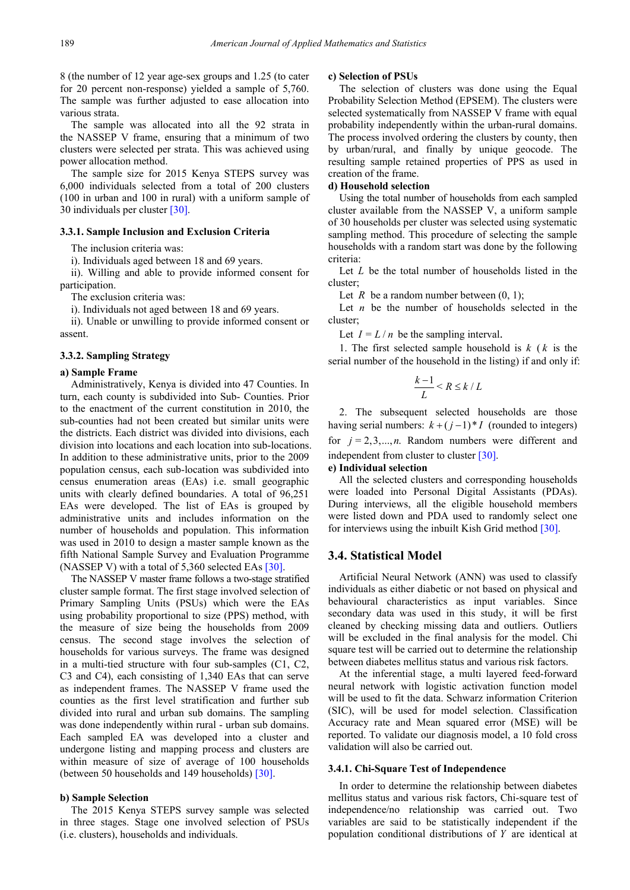8 (the number of 12 year age-sex groups and 1.25 (to cater for 20 percent non-response) yielded a sample of 5,760. The sample was further adjusted to ease allocation into various strata.

The sample was allocated into all the 92 strata in the NASSEP V frame, ensuring that a minimum of two clusters were selected per strata. This was achieved using power allocation method.

The sample size for 2015 Kenya STEPS survey was 6,000 individuals selected from a total of 200 clusters (100 in urban and 100 in rural) with a uniform sample of 30 individuals per cluster [\[30\].](#page-14-21)

#### **3.3.1. Sample Inclusion and Exclusion Criteria**

The inclusion criteria was:

i). Individuals aged between 18 and 69 years.

ii). Willing and able to provide informed consent for participation.

The exclusion criteria was:

i). Individuals not aged between 18 and 69 years.

ii). Unable or unwilling to provide informed consent or assent.

#### **3.3.2. Sampling Strategy**

#### **a) Sample Frame**

Administratively, Kenya is divided into 47 Counties. In turn, each county is subdivided into Sub- Counties. Prior to the enactment of the current constitution in 2010, the sub-counties had not been created but similar units were the districts. Each district was divided into divisions, each division into locations and each location into sub-locations. In addition to these administrative units, prior to the 2009 population census, each sub-location was subdivided into census enumeration areas (EAs) i.e. small geographic units with clearly defined boundaries. A total of 96,251 EAs were developed. The list of EAs is grouped by administrative units and includes information on the number of households and population. This information was used in 2010 to design a master sample known as the fifth National Sample Survey and Evaluation Programme (NASSEP V) with a total of 5,360 selected EAs [\[30\].](#page-14-21)

The NASSEP V master frame follows a two-stage stratified cluster sample format. The first stage involved selection of Primary Sampling Units (PSUs) which were the EAs using probability proportional to size (PPS) method, with the measure of size being the households from 2009 census. The second stage involves the selection of households for various surveys. The frame was designed in a multi-tied structure with four sub-samples (C1, C2, C3 and C4), each consisting of 1,340 EAs that can serve as independent frames. The NASSEP V frame used the counties as the first level stratification and further sub divided into rural and urban sub domains. The sampling was done independently within rural - urban sub domains. Each sampled EA was developed into a cluster and undergone listing and mapping process and clusters are within measure of size of average of 100 households (between 50 households and 149 households) [\[30\].](#page-14-21)

#### **b) Sample Selection**

The 2015 Kenya STEPS survey sample was selected in three stages. Stage one involved selection of PSUs (i.e. clusters), households and individuals.

#### **c) Selection of PSUs**

The selection of clusters was done using the Equal Probability Selection Method (EPSEM). The clusters were selected systematically from NASSEP V frame with equal probability independently within the urban-rural domains. The process involved ordering the clusters by county, then by urban/rural, and finally by unique geocode. The resulting sample retained properties of PPS as used in creation of the frame.

#### **d) Household selection**

Using the total number of households from each sampled cluster available from the NASSEP V, a uniform sample of 30 households per cluster was selected using systematic sampling method. This procedure of selecting the sample households with a random start was done by the following criteria:

Let *L* be the total number of households listed in the cluster;

Let  $R$  be a random number between  $(0, 1)$ ;

Let  $n$  be the number of households selected in the cluster;

Let  $I = L/n$  be the sampling interval.

1. The first selected sample household is *k* ( *k* is the serial number of the household in the listing) if and only if:

$$
\frac{k-1}{L} < R \leq k / L
$$

2. The subsequent selected households are those having serial numbers:  $k + (j-1)*I$  (rounded to integers) for  $j = 2,3,...,n$ . Random numbers were different and independent from cluster to cluster [\[30\].](#page-14-21)

#### **e) Individual selection**

All the selected clusters and corresponding households were loaded into Personal Digital Assistants (PDAs). During interviews, all the eligible household members were listed down and PDA used to randomly select one for interviews using the inbuilt Kish Grid method [\[30\].](#page-14-21)

#### **3.4. Statistical Model**

Artificial Neural Network (ANN) was used to classify individuals as either diabetic or not based on physical and behavioural characteristics as input variables. Since secondary data was used in this study, it will be first cleaned by checking missing data and outliers. Outliers will be excluded in the final analysis for the model. Chi square test will be carried out to determine the relationship between diabetes mellitus status and various risk factors.

At the inferential stage, a multi layered feed-forward neural network with logistic activation function model will be used to fit the data. Schwarz information Criterion (SIC), will be used for model selection. Classification Accuracy rate and Mean squared error (MSE) will be reported. To validate our diagnosis model, a 10 fold cross validation will also be carried out.

#### **3.4.1. Chi-Square Test of Independence**

In order to determine the relationship between diabetes mellitus status and various risk factors, Chi-square test of independence/no relationship was carried out. Two variables are said to be statistically independent if the population conditional distributions of *Y* are identical at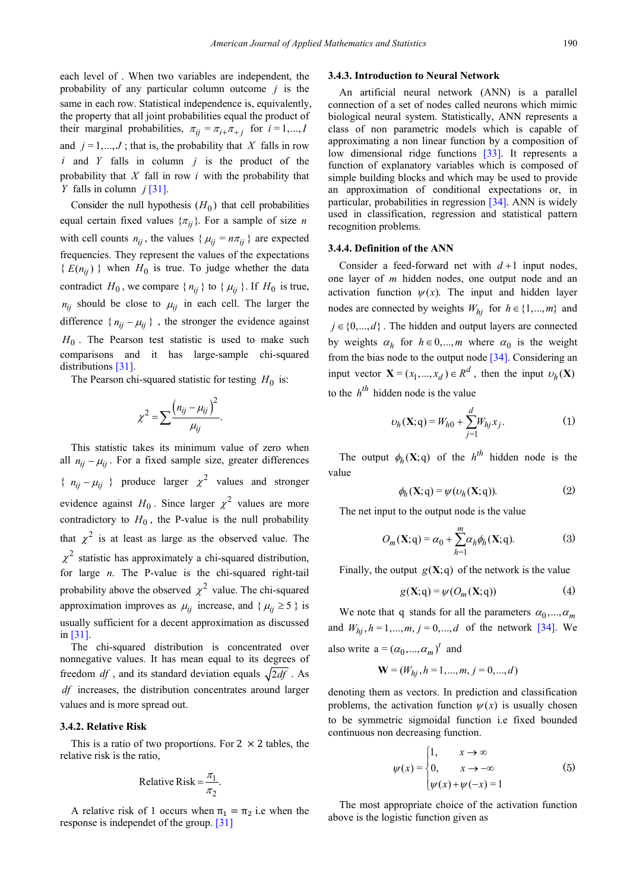each level of . When two variables are independent, the probability of any particular column outcome *j* is the same in each row. Statistical independence is, equivalently, the property that all joint probabilities equal the product of their marginal probabilities,  $\pi_{ij} = \pi_{i+} \pi_{+j}$  for  $i = 1,..., I$ and  $j = 1, ..., J$ ; that is, the probability that *X* falls in row *i* and *Y* falls in column *j* is the product of the probability that *X* fall in row *i* with the probability that *Y* falls in column *j* [\[31\].](#page-14-22)

Consider the null hypothesis  $(H_0)$  that cell probabilities equal certain fixed values  $\{\pi_{ij}\}\$ . For a sample of size *n* with cell counts  $n_{ii}$ , the values { $\mu_{ii} = n\pi_{ii}$ } are expected frequencies. They represent the values of the expectations  ${E(n_{ij})}$  when  $H_0$  is true. To judge whether the data contradict  $H_0$ , we compare  $\{n_{ij}\}\$  to  $\{\mu_{ij}\}\$ . If  $H_0$  is true,  $n_{ij}$  should be close to  $\mu_{ij}$  in each cell. The larger the difference  $\{ n_{ij} - \mu_{ij} \}$ , the stronger the evidence against  $H_0$ . The Pearson test statistic is used to make such comparisons and it has large-sample chi-squared distributions [\[31\].](#page-14-22)

The Pearson chi-squared statistic for testing  $H_0$  is:

$$
\chi^2 = \sum \frac{\left(n_{ij} - \mu_{ij}\right)^2}{\mu_{ij}}.
$$

This statistic takes its minimum value of zero when all  $n_{ii} - \mu_{ii}$ . For a fixed sample size, greater differences {  $n_{ii} - \mu_{ii}$  } produce larger  $\chi^2$  values and stronger evidence against  $H_0$ . Since larger  $\chi^2$  values are more contradictory to  $H_0$ , the P-value is the null probability that  $\chi^2$  is at least as large as the observed value. The  $\chi^2$  statistic has approximately a chi-squared distribution, for large *n*. The P-value is the chi-squared right-tail probability above the observed  $\chi^2$  value. The chi-squared approximation improves as  $\mu_{ij}$  increase, and { $\mu_{ij} \ge 5$ } is usually sufficient for a decent approximation as discussed in [\[31\].](#page-14-22)

The chi-squared distribution is concentrated over nonnegative values. It has mean equal to its degrees of freedom  $df$ , and its standard deviation equals  $\sqrt{2df}$ . As *df* increases, the distribution concentrates around larger values and is more spread out.

#### **3.4.2. Relative Risk**

This is a ratio of two proportions. For  $2 \times 2$  tables, the relative risk is the ratio,

$$
Relative Risk = \frac{\pi_1}{\pi_2}.
$$

A relative risk of 1 occurs when  $\pi_1 = \pi_2$  i.e when the response is independet of the group. [\[31\]](#page-14-22)

#### **3.4.3. Introduction to Neural Network**

An artificial neural network (ANN) is a parallel connection of a set of nodes called neurons which mimic biological neural system. Statistically, ANN represents a class of non parametric models which is capable of approximating a non linear function by a composition of low dimensional ridge functions [\[33\].](#page-14-23) It represents a function of explanatory variables which is composed of simple building blocks and which may be used to provide an approximation of conditional expectations or, in particular, probabilities in regression [\[34\].](#page-14-24) ANN is widely used in classification, regression and statistical pattern recognition problems.

#### **3.4.4. Definition of the ANN**

Consider a feed-forward net with  $d+1$  input nodes, one layer of *m* hidden nodes, one output node and an activation function  $\psi(x)$ . The input and hidden layer nodes are connected by weights  $W_{hi}$  for  $h \in \{1,...,m\}$  and  $j \in \{0, ..., d\}$ . The hidden and output layers are connected by weights  $\alpha_h$  for  $h \in 0, ..., m$  where  $\alpha_0$  is the weight from the bias node to the output node [\[34\].](#page-14-24) Considering an input vector  $\mathbf{X} = (x_1, ..., x_d) \in R^d$ , then the input  $v_h(\mathbf{X})$ to the  $h^{th}$  hidden node is the value

$$
\upsilon_h(\mathbf{X}; \mathbf{q}) = W_{h0} + \sum_{j=1}^d W_{hj} x_j.
$$
 (1)

The output  $\phi_h(\mathbf{X};q)$  of the  $h^{th}$  hidden node is the value

$$
\phi_h(\mathbf{X};q) = \psi(\upsilon_h(\mathbf{X};q)).\tag{2}
$$

The net input to the output node is the value

$$
O_m(\mathbf{X};q) = \alpha_0 + \sum_{h=1}^{m} \alpha_h \phi_h(\mathbf{X};q).
$$
 (3)

Finally, the output  $g(X; q)$  of the network is the value

$$
g(\mathbf{X};q) = \psi(O_m(\mathbf{X};q))
$$
 (4)

We note that q stands for all the parameters  $\alpha_0, ..., \alpha_m$ and  $W_{hi}$ ,  $h = 1,..., m$ ,  $j = 0,..., d$  of the network [\[34\].](#page-14-24) We also write  $a = (\alpha_0, ..., \alpha_m)^t$  and

 $W = (W_{hi}, h = 1, \dots, m, j = 0, \dots, d)$ 

denoting them as vectors. In prediction and classification problems, the activation function  $\psi(x)$  is usually chosen to be symmetric sigmoidal function i.e fixed bounded continuous non decreasing function.

$$
\psi(x) = \begin{cases} 1, & x \to \infty \\ 0, & x \to -\infty \\ \psi(x) + \psi(-x) = 1 \end{cases}
$$
(5)

The most appropriate choice of the activation function above is the logistic function given as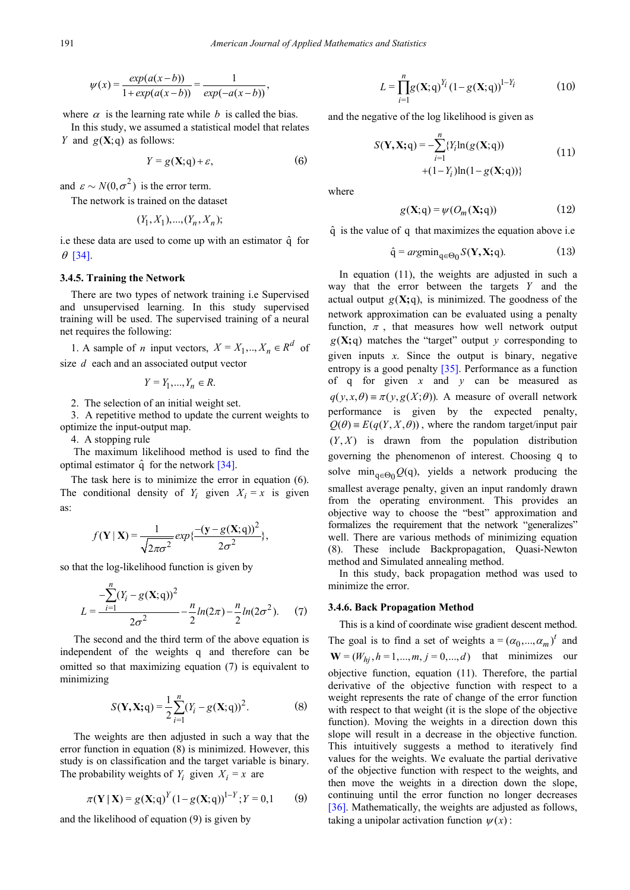$$
\psi(x) = \frac{exp(a(x-b))}{1 + exp(a(x-b))} = \frac{1}{exp(-a(x-b))},
$$

where  $\alpha$  is the learning rate while *b* is called the bias.

In this study, we assumed a statistical model that relates *Y* and  $g(X;g)$  as follows:

$$
Y = g(\mathbf{X}; \mathbf{q}) + \varepsilon,\tag{6}
$$

and  $\varepsilon \sim N(0, \sigma^2)$  is the error term.

The network is trained on the dataset

$$
(Y_1, X_1), ..., (Y_n, X_n);
$$

i.e these data are used to come up with an estimator  $\hat{q}$  for  $\theta$  [\[34\].](#page-14-24)

#### **3.4.5. Training the Network**

There are two types of network training i.e Supervised and unsupervised learning. In this study supervised training will be used. The supervised training of a neural net requires the following:

1. A sample of *n* input vectors,  $X = X_1, \dots, X_n \in \mathbb{R}^d$  of size *d* each and an associated output vector

 $Y = Y_1, ..., Y_n \in R$ .

2. The selection of an initial weight set.

3. A repetitive method to update the current weights to optimize the input-output map.

4. A stopping rule

The maximum likelihood method is used to find the optimal estimator  $\hat{q}$  for the network [\[34\].](#page-14-24)

The task here is to minimize the error in equation (6). The conditional density of  $Y_i$  given  $X_i = x$  is given as:

$$
f(\mathbf{Y} \mid \mathbf{X}) = \frac{1}{\sqrt{2\pi\sigma^2}} exp{\frac{-(\mathbf{y} - g(\mathbf{X}; \mathbf{q}))^2}{2\sigma^2}},
$$

so that the log-likelihood function is given by

$$
L = \frac{-\sum_{i=1}^{n} (Y_i - g(\mathbf{X}; \mathbf{q}))^2}{2\sigma^2} - \frac{n}{2} ln(2\pi) - \frac{n}{2} ln(2\sigma^2).
$$
 (7)

The second and the third term of the above equation is independent of the weights q and therefore can be omitted so that maximizing equation (7) is equivalent to minimizing

$$
S(\mathbf{Y}, \mathbf{X}; \mathbf{q}) = \frac{1}{2} \sum_{i=1}^{n} (Y_i - g(\mathbf{X}; \mathbf{q}))^2.
$$
 (8)

The weights are then adjusted in such a way that the error function in equation (8) is minimized. However, this study is on classification and the target variable is binary. The probability weights of  $Y_i$  given  $X_i = x$  are

$$
\pi(Y | X) = g(X; q)^{Y} (1 - g(X; q))^{1 - Y}; Y = 0, 1
$$
 (9)

and the likelihood of equation (9) is given by

$$
L = \prod_{i=1}^{n} g(\mathbf{X}; q)^{Y_i} (1 - g(\mathbf{X}; q))^{1 - Y_i}
$$
 (10)

and the negative of the log likelihood is given as

$$
S(\mathbf{Y}, \mathbf{X}; \mathbf{q}) = -\sum_{i=1}^{n} \{ Y_i \ln(g(\mathbf{X}; \mathbf{q})) + (1 - Y_i) \ln(1 - g(\mathbf{X}; \mathbf{q})) \}
$$
(11)

where

$$
g(\mathbf{X};q) = \psi(O_m(\mathbf{X};q))
$$
 (12)

 $\hat{q}$  is the value of q that maximizes the equation above i.e.

$$
\hat{\mathbf{q}} = argmin_{\mathbf{q} \in \Theta_0} S(\mathbf{Y}, \mathbf{X}; \mathbf{q}).\tag{13}
$$

In equation (11), the weights are adjusted in such a way that the error between the targets *Y* and the actual output  $g(X; q)$ , is minimized. The goodness of the network approximation can be evaluated using a penalty function,  $\pi$ , that measures how well network output  $g(X; q)$  matches the "target" output *y* corresponding to given inputs  $x$ . Since the output is binary, negative entropy is a good penalty [\[35\].](#page-14-25) Performance as a function of q for given *x* and *y* can be measured as  $q(y, x, \theta) = \pi(y, g(X; \theta))$ . A measure of overall network performance is given by the expected penalty,  $Q(\theta) = E(q(Y, X, \theta))$ , where the random target/input pair  $(Y, X)$  is drawn from the population distribution governing the phenomenon of interest. Choosing q to solve  $\min_{q \in \Theta_0} Q(q)$ , yields a network producing the smallest average penalty, given an input randomly drawn from the operating environment. This provides an objective way to choose the "best" approximation and formalizes the requirement that the network "generalizes" well. There are various methods of minimizing equation (8). These include Backpropagation, Quasi-Newton method and Simulated annealing method.

In this study, back propagation method was used to minimize the error.

#### **3.4.6. Back Propagation Method**

This is a kind of coordinate wise gradient descent method. The goal is to find a set of weights  $a = (\alpha_0, ..., \alpha_m)^t$  and  $W = (W_{hi}, h = 1, ..., m, j = 0, ..., d)$  that minimizes our objective function, equation (11). Therefore, the partial derivative of the objective function with respect to a weight represents the rate of change of the error function with respect to that weight (it is the slope of the objective function). Moving the weights in a direction down this slope will result in a decrease in the objective function. This intuitively suggests a method to iteratively find values for the weights. We evaluate the partial derivative of the objective function with respect to the weights, and then move the weights in a direction down the slope, continuing until the error function no longer decreases [\[36\].](#page-14-26) Mathematically, the weights are adjusted as follows, taking a unipolar activation function  $\psi(x)$ :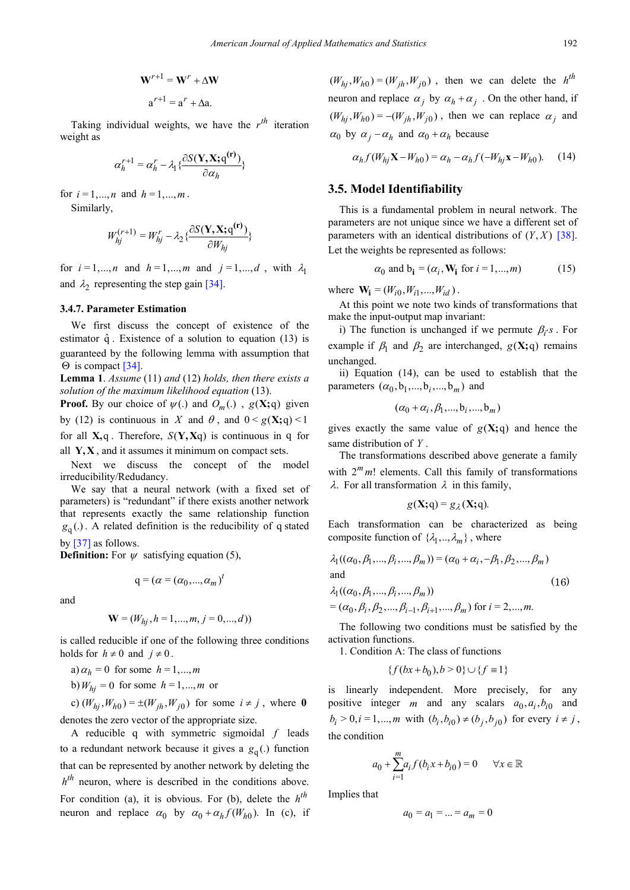$$
\mathbf{W}^{r+1} = \mathbf{W}^r + \Delta \mathbf{W}
$$

$$
\mathbf{a}^{r+1} = \mathbf{a}^r + \Delta \mathbf{a}.
$$

Taking individual weights, we have the  $r^{th}$  iteration weight as

$$
\alpha_h^{r+1} = \alpha_h^r - \lambda_1 \{\frac{\partial S(\mathbf{Y}, \mathbf{X}; \mathbf{q}^{(r)})}{\partial \alpha_h}\}
$$

for  $i = 1,...,n$  and  $h = 1,...,m$ .

Similarly,

$$
W_{hj}^{(r+1)} = W_{hj}^r - \lambda_2 \left\{ \frac{\partial S(\mathbf{Y}, \mathbf{X}; \mathbf{q}^{(r)})}{\partial W_{hj}} \right\}
$$

for  $i = 1, ..., n$  and  $h = 1, ..., m$  and  $j = 1, ..., d$ , with  $\lambda_1$ and  $\lambda_2$  representing the step gain [\[34\].](#page-14-24)

#### **3.4.7. Parameter Estimation**

We first discuss the concept of existence of the estimator  $\hat{q}$ . Existence of a solution to equation (13) is guaranteed by the following lemma with assumption that Θ is compact [\[34\].](#page-14-24)

**Lemma 1**. *Assume* (11) *and* (12) *holds, then there exists a solution of the maximum likelihood equation* (13).

**Proof.** By our choice of  $\psi$ (.) and  $O_m$ (.),  $g$ (**X**;q) given by (12) is continuous in *X* and  $\theta$ , and  $0 < g(X; q) < 1$ for all  $X$ , q. Therefore,  $S(Y, Xq)$  is continuous in q for all **Y, X** , and it assumes it minimum on compact sets.

Next we discuss the concept of the model irreducibility/Redudancy.

We say that a neural network (with a fixed set of parameters) is "redundant" if there exists another network that represents exactly the same relationship function  $g<sub>q</sub>(.)$ . A related definition is the reducibility of q stated

by [\[37\]](#page-14-27) as follows.

**Definition:** For  $\psi$  satisfying equation (5),

$$
\mathbf{q} = (\alpha = (\alpha_0, ..., \alpha_m)^t
$$

and

$$
\mathbf{W} = (W_{hj}, h = 1, ..., m, j = 0, ..., d))
$$

is called reducible if one of the following three conditions holds for  $h \neq 0$  and  $j \neq 0$ .

a) 
$$
\alpha_h = 0
$$
 for some  $h = 1, \dots, m$ 

b) 
$$
W_{hj} = 0
$$
 for some  $h = 1, ..., m$  or

c)  $(W_{hi}, W_{h0}) = \pm (W_{ih}, W_{i0})$  for some  $i \neq j$ , where 0 denotes the zero vector of the appropriate size.

A reducible q with symmetric sigmoidal *f* leads to a redundant network because it gives a  $g<sub>q</sub>$ <sub>(</sub>) function that can be represented by another network by deleting the  $h<sup>th</sup>$  neuron, where is described in the conditions above. For condition (a), it is obvious. For (b), delete the  $h^{th}$ neuron and replace  $\alpha_0$  by  $\alpha_0 + \alpha_h f(W_{h0})$ . In (c), if

 $(W_{hj}, W_{h0}) = (W_{jh}, W_{j0})$ , then we can delete the *h*<sup>th</sup> neuron and replace  $\alpha_i$  by  $\alpha_h + \alpha_i$ . On the other hand, if  $(W_{hj}, W_{h0}) = -(W_{jh}, W_{j0})$ , then we can replace  $\alpha_j$  and  $\alpha_0$  by  $\alpha_i - \alpha_h$  and  $\alpha_0 + \alpha_h$  because

$$
\alpha_h f(W_{hj} \mathbf{X} - W_{h0}) = \alpha_h - \alpha_h f(-W_{hj} \mathbf{x} - W_{h0}).
$$
 (14)

#### **3.5. Model Identifiability**

This is a fundamental problem in neural network. The parameters are not unique since we have a different set of parameters with an identical distributions of  $(Y, X)$  [\[38\].](#page-14-28) Let the weights be represented as follows:

$$
\alpha_0 \text{ and } \mathbf{b_i} = (\alpha_i, \mathbf{W_i} \text{ for } i = 1, \dots, m) \tag{15}
$$

where  $\mathbf{W_i} = (W_{i0}, W_{i1}, ..., W_{id})$ .

At this point we note two kinds of transformations that make the input-output map invariant:

i) The function is unchanged if we permute  $\beta_i$ 's. For example if  $\beta_1$  and  $\beta_2$  are interchanged,  $g(X; q)$  remains unchanged.

ii) Equation (14), can be used to establish that the parameters  $(\alpha_0, b_1, ..., b_i, ..., b_m)$  and

$$
(\alpha_0+\alpha_i,\beta_1,...,\mathbf{b}_i,...,\mathbf{b}_m)
$$

gives exactly the same value of  $g(X; q)$  and hence the same distribution of *Y* .

The transformations described above generate a family with  $2^m m!$  elements. Call this family of transformations λ. For all transformation λ in this family,

$$
g(\mathbf{X};q) = g_{\lambda}(\mathbf{X};q).
$$

Each transformation can be characterized as being composite function of  $\{\lambda_1, \dots, \lambda_m\}$ , where

$$
\lambda_1((\alpha_0, \beta_1, ..., \beta_i, ..., \beta_m)) = (\alpha_0 + \alpha_i, -\beta_1, \beta_2, ..., \beta_m)
$$
  
and  

$$
\lambda_1((\alpha_0, \beta_1, ..., \beta_i, ..., \beta_m))
$$
 (16)

 $= (\alpha_0, \beta_i, \beta_2, ..., \beta_{i-1}, \beta_{i+1}, ..., \beta_m)$  for  $i = 2, ..., m$ .

The following two conditions must be satisfied by the activation functions.

1. Condition A: The class of functions

$$
\{f(bx+b_0), b > 0\} \cup \{f \equiv 1\}
$$

is linearly independent. More precisely, for any positive integer *m* and any scalars  $a_0, a_i, b_{i0}$  and  $b_i > 0, i = 1,..., m$  with  $(b_i, b_{i0}) \neq (b_i, b_{i0})$  for every  $i \neq j$ , the condition

$$
a_0 + \sum_{i=1}^m a_i f(b_i x + b_{i0}) = 0 \qquad \forall x \in \mathbb{R}
$$

Implies that

$$
a_0 = a_1 = \dots = a_m = 0
$$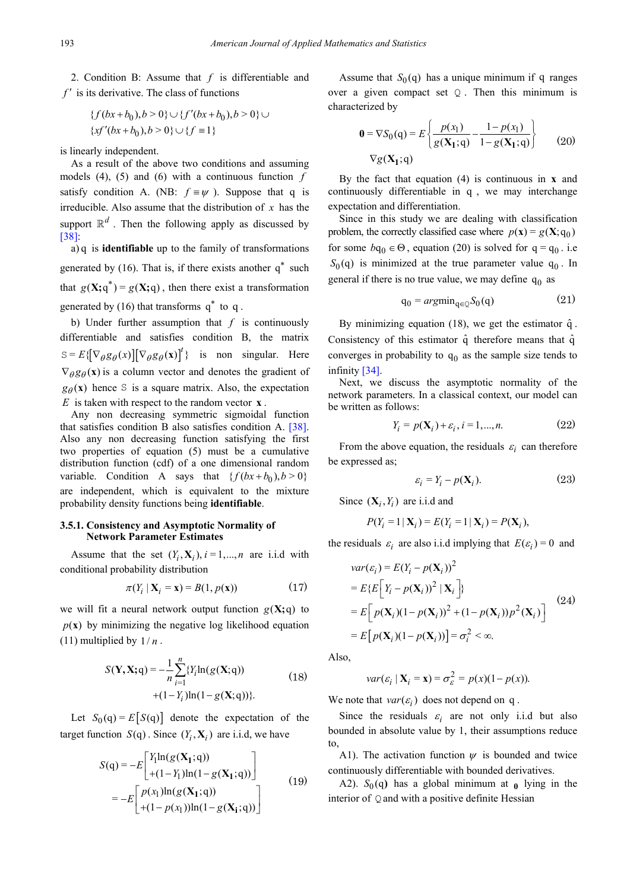2. Condition B: Assume that *f* is differentiable and *f* ′ is its derivative. The class of functions

$$
\{f(bx+b_0), b > 0\} \cup \{f'(bx+b_0), b > 0\} \cup \{xf'(bx+b_0), b > 0\} \cup \{f \equiv 1\}
$$

is linearly independent.

As a result of the above two conditions and assuming models (4), (5) and (6) with a continuous function *f* satisfy condition A. (NB:  $f \equiv \psi$ ). Suppose that q is irreducible. Also assume that the distribution of *x* has the support  $\mathbb{R}^d$ . Then the following apply as discussed by [\[38\]:](#page-14-28)

a) q is **identifiable** up to the family of transformations generated by (16). That is, if there exists another  $q^*$  such that  $g(X; q^*) = g(X; q)$ , then there exist a transformation generated by (16) that transforms  $q^*$  to q.

b) Under further assumption that *f* is continuously differentiable and satisfies condition B, the matrix  $S = E\{\left[\nabla_{\theta}g_{\theta}(x)\right]\left[\nabla_{\theta}g_{\theta}(x)\right]^{t}\}$  is non singular. Here  $\nabla_{\theta} g_{\theta}(\mathbf{x})$  is a column vector and denotes the gradient of  $g_{\theta}(x)$  hence S is a square matrix. Also, the expectation *E* is taken with respect to the random vector **x** .

Any non decreasing symmetric sigmoidal function that satisfies condition B also satisfies condition A. [\[38\].](#page-14-28) Also any non decreasing function satisfying the first two properties of equation (5) must be a cumulative distribution function (cdf) of a one dimensional random variable. Condition A says that  $\{ f ( bx + b_0), b > 0 \}$ are independent, which is equivalent to the mixture probability density functions being **identifiable**.

#### **3.5.1. Consistency and Asymptotic Normality of Network Parameter Estimates**

Assume that the set  $(Y_i, X_i)$ ,  $i = 1,...,n$  are i.i.d with conditional probability distribution

$$
\pi(Y_i \mid \mathbf{X}_i = \mathbf{x}) = B(1, p(\mathbf{x})) \tag{17}
$$

we will fit a neural network output function  $g(X; q)$  to  $p(x)$  by minimizing the negative log likelihood equation (11) multiplied by  $1/n$ .

$$
S(\mathbf{Y}, \mathbf{X}; \mathbf{q}) = -\frac{1}{n} \sum_{i=1}^{n} \{ Y_i \ln(g(\mathbf{X}; \mathbf{q})) + (1 - Y_i) \ln(1 - g(\mathbf{X}; \mathbf{q})) \}.
$$
 (18)

Let  $S_0(q) = E[S(q)]$  denote the expectation of the target function  $S(q)$ . Since  $(Y_i, \mathbf{X}_i)$  are i.i.d, we have

$$
S(q) = -E\begin{bmatrix} Y_1 \ln(g(\mathbf{X}_1; q)) \\ + (1 - Y_1) \ln(1 - g(\mathbf{X}_1; q)) \end{bmatrix}
$$
  
= 
$$
-E\begin{bmatrix} p(x_1) \ln(g(\mathbf{X}_1; q)) \\ + (1 - p(x_1)) \ln(1 - g(\mathbf{X}_1; q)) \end{bmatrix}
$$
 (19)

Assume that  $S_0(q)$  has a unique minimum if q ranges over a given compact set  $Q$ . Then this minimum is characterized by

$$
\mathbf{0} = \nabla S_0(\mathbf{q}) = E \left\{ \frac{p(\mathbf{x}_1)}{g(\mathbf{X}_1; \mathbf{q})} - \frac{1 - p(\mathbf{x}_1)}{1 - g(\mathbf{X}_1; \mathbf{q})} \right\}
$$
(20)  

$$
\nabla g(\mathbf{X}_1; \mathbf{q})
$$

By the fact that equation (4) is continuous in **x** and continuously differentiable in q , we may interchange expectation and differentiation.

Since in this study we are dealing with classification problem, the correctly classified case where  $p(\mathbf{x}) = g(\mathbf{X}; q_0)$ for some  $bq_0 \in \Theta$ , equation (20) is solved for  $q = q_0$ . i.e  $S_0(q)$  is minimized at the true parameter value  $q_0$ . In general if there is no true value, we may define  $q_0$  as

$$
q_0 = argmin_{q \in Q} S_0(q) \tag{21}
$$

By minimizing equation (18), we get the estimator  $\hat{q}$ . Consistency of this estimator  $\hat{q}$  therefore means that  $\hat{q}$ converges in probability to  $q_0$  as the sample size tends to infinity [\[34\].](#page-14-24)

Next, we discuss the asymptotic normality of the network parameters. In a classical context, our model can be written as follows:

$$
Y_i = p(\mathbf{X}_i) + \varepsilon_i, i = 1, \dots, n. \tag{22}
$$

From the above equation, the residuals  $\varepsilon_i$  can therefore be expressed as;

$$
\varepsilon_i = Y_i - p(\mathbf{X}_i). \tag{23}
$$

Since  $(X_i, Y_i)$  are i.i.d and

$$
P(Y_i = 1 | \mathbf{X}_i) = E(Y_i = 1 | \mathbf{X}_i) = P(\mathbf{X}_i),
$$

the residuals  $\varepsilon_i$  are also i.i.d implying that  $E(\varepsilon_i) = 0$  and

$$
var(\varepsilon_i) = E(Y_i - p(\mathbf{X}_i))^2
$$
  
\n
$$
= E\{E\left[Y_i - p(\mathbf{X}_i))^2 | \mathbf{X}_i\right]\}
$$
  
\n
$$
= E\left[p(\mathbf{X}_i)(1 - p(\mathbf{X}_i))^2 + (1 - p(\mathbf{X}_i))p^2(\mathbf{X}_i)\right]
$$
  
\n
$$
= E\left[p(\mathbf{X}_i)(1 - p(\mathbf{X}_i))\right] = \sigma_i^2 < \infty.
$$
 (24)

Also,

$$
var(\varepsilon_i \mid \mathbf{X}_i = \mathbf{x}) = \sigma_{\varepsilon}^2 = p(x)(1 - p(x)).
$$

We note that  $var(\varepsilon_i)$  does not depend on q.

Since the residuals  $\varepsilon_i$  are not only i.i.d but also bounded in absolute value by 1, their assumptions reduce to,

A1). The activation function  $\psi$  is bounded and twice continuously differentiable with bounded derivatives.

A2).  $S_0(q)$  has a global minimum at  $\theta$  lying in the interior of  $Q$  and with a positive definite Hessian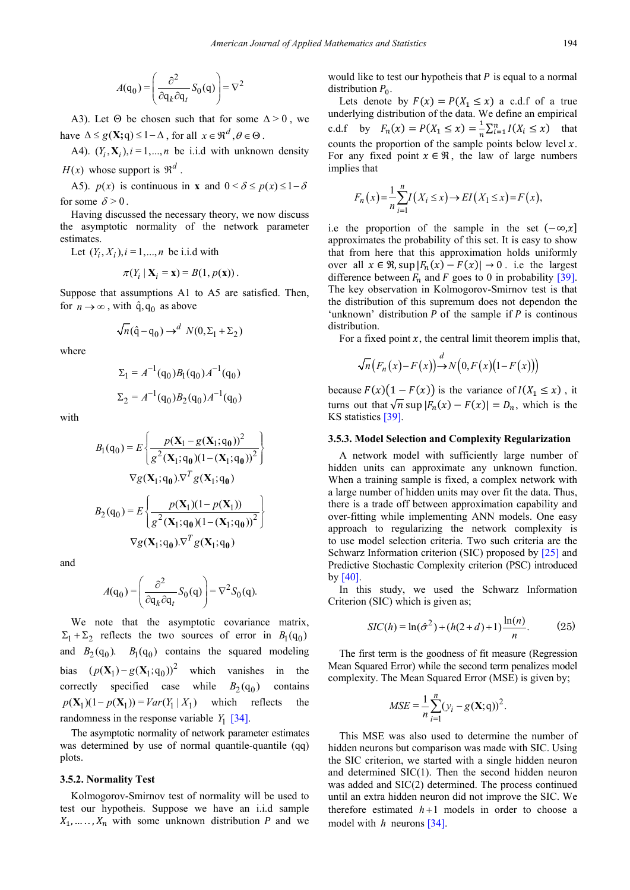$$
A(\mathbf{q}_0) = \left(\frac{\partial^2}{\partial \mathbf{q}_k \partial \mathbf{q}_t} S_0(\mathbf{q})\right) = \nabla^2
$$

A3). Let  $\Theta$  be chosen such that for some  $\Delta > 0$ , we have  $\Delta \leq g(\mathbf{X}; q) \leq 1 - \Delta$ , for all  $x \in \mathbb{R}^d$ ,  $\theta \in \Theta$ .

A4).  $(Y_i, X_i)$ ,  $i = 1,...,n$  be i.i.d with unknown density  $H(x)$  whose support is  $\mathfrak{R}^d$ .

A5). *p(x)* is continuous in **x** and  $0 < \delta \le p(x) \le 1 - \delta$ for some  $\delta$  > 0.

Having discussed the necessary theory, we now discuss the asymptotic normality of the network parameter estimates.

Let  $(Y_i, X_i)$ ,  $i = 1, ..., n$  be i.i.d with

$$
\pi(Y_i \mid \mathbf{X}_i = \mathbf{x}) = B(1, p(\mathbf{x})).
$$

Suppose that assumptions A1 to A5 are satisfied. Then, for  $n \to \infty$ , with  $\hat{q}, q_0$  as above

$$
\sqrt{n}(\hat{q} - q_0) \rightarrow^d N(0, \Sigma_1 + \Sigma_2)
$$

where

$$
\Sigma_1 = A^{-1}(q_0)B_1(q_0)A^{-1}(q_0)
$$
  

$$
\Sigma_2 = A^{-1}(q_0)B_2(q_0)A^{-1}(q_0)
$$

with

$$
B_{1}(q_{0}) = E \left\{ \frac{p(X_{1} - g(X_{1}; q_{0}))^{2}}{g^{2}(X_{1}; q_{0})(1 - (X_{1}; q_{0}))^{2}} \right\}
$$

$$
\nabla g(X_{1}; q_{0}) \nabla^{T} g(X_{1}; q_{0})
$$

$$
B_{2}(q_{0}) = E \left\{ \frac{p(X_{1})(1 - p(X_{1}))}{g^{2}(X_{1}; q_{0})(1 - (X_{1}; q_{0}))^{2}} \right\}
$$

$$
\nabla g(X_{1}; q_{0}) \nabla^{T} g(X_{1}; q_{0})
$$

and

$$
A(\mathbf{q}_0) = \left(\frac{\partial^2}{\partial \mathbf{q}_k \partial \mathbf{q}_t} S_0(\mathbf{q})\right) = \nabla^2 S_0(\mathbf{q}).
$$

We note that the asymptotic covariance matrix,  $\Sigma_1 + \Sigma_2$  reflects the two sources of error in  $B_1(q_0)$ and  $B_2(q_0)$ .  $B_1(q_0)$  contains the squared modeling bias  $(p(\mathbf{X}_1) - g(\mathbf{X}_1; q_0))^2$  which vanishes in the correctly specified case while  $B_2(q_0)$  contains  $p(\mathbf{X}_1)(1 - p(\mathbf{X}_1)) = Var(Y_1 | X_1)$  which reflects the randomness in the response variable  $Y_1$  [\[34\].](#page-14-24)

The asymptotic normality of network parameter estimates was determined by use of normal quantile-quantile (qq) plots.

#### **3.5.2. Normality Test**

Kolmogorov-Smirnov test of normality will be used to test our hypotheis. Suppose we have an i.i.d sample  $X_1, \ldots, X_n$  with some unknown distribution P and we

would like to test our hypotheis that  $P$  is equal to a normal distribution  $P_0$ .

Lets denote by  $F(x) = P(X_1 \le x)$  a c.d.f of a true underlying distribution of the data. We define an empirical c.d.f by  $F_n(x) = P(X_1 \le x) = \frac{1}{n} \sum_{i=1}^n I(X_i \le x)$  that counts the proportion of the sample points below level  $x$ . For any fixed point  $x \in \mathcal{R}$ , the law of large numbers implies that

$$
F_n(x) = \frac{1}{n} \sum_{i=1}^n I(X_i \le x) \to EI(X_1 \le x) = F(x),
$$

i.e the proportion of the sample in the set  $(-\infty,x]$ approximates the probability of this set. It is easy to show that from here that this approximation holds uniformly over all  $x \in \mathcal{R}$ , sup  $|F_n(x) - F(x)| \to 0$ . i.e the largest difference between  $F_n$  and F goes to 0 in probability [\[39\].](#page-14-29) The key observation in Kolmogorov-Smirnov test is that the distribution of this supremum does not dependon the 'unknown' distribution  $P$  of the sample if  $P$  is continous distribution.

For a fixed point  $x$ , the central limit theorem implis that,

$$
\sqrt{n}\big(F_n(x)-F(x)\big) \to N\big(0,F(x)\big(1-F(x)\big)\big)
$$

because  $F(x)(1 - F(x))$  is the variance of  $I(X_1 \le x)$ , it turns out that  $\sqrt{n}$  sup  $|F_n(x) - F(x)| = D_n$ , which is the KS statistics [\[39\].](#page-14-29)

#### **3.5.3. Model Selection and Complexity Regularization**

A network model with sufficiently large number of hidden units can approximate any unknown function. When a training sample is fixed, a complex network with a large number of hidden units may over fit the data. Thus, there is a trade off between approximation capability and over-fitting while implementing ANN models. One easy approach to regularizing the network complexity is to use model selection criteria. Two such criteria are the Schwarz Information criterion (SIC) proposed by [\[25\]](#page-14-16) and Predictive Stochastic Complexity criterion (PSC) introduced b[y \[40\].](#page-14-30)

In this study, we used the Schwarz Information Criterion (SIC) which is given as;

$$
SIC(h) = \ln(\hat{\sigma}^2) + (h(2+d) + 1)\frac{\ln(n)}{n}.
$$
 (25)

The first term is the goodness of fit measure (Regression Mean Squared Error) while the second term penalizes model complexity. The Mean Squared Error (MSE) is given by;

$$
MSE = \frac{1}{n} \sum_{i=1}^{n} (y_i - g(\mathbf{X}; \mathbf{q}))^2.
$$

This MSE was also used to determine the number of hidden neurons but comparison was made with SIC. Using the SIC criterion, we started with a single hidden neuron and determined SIC(1). Then the second hidden neuron was added and SIC(2) determined. The process continued until an extra hidden neuron did not improve the SIC. We therefore estimated  $h+1$  models in order to choose a model with *h* neurons [\[34\].](#page-14-24)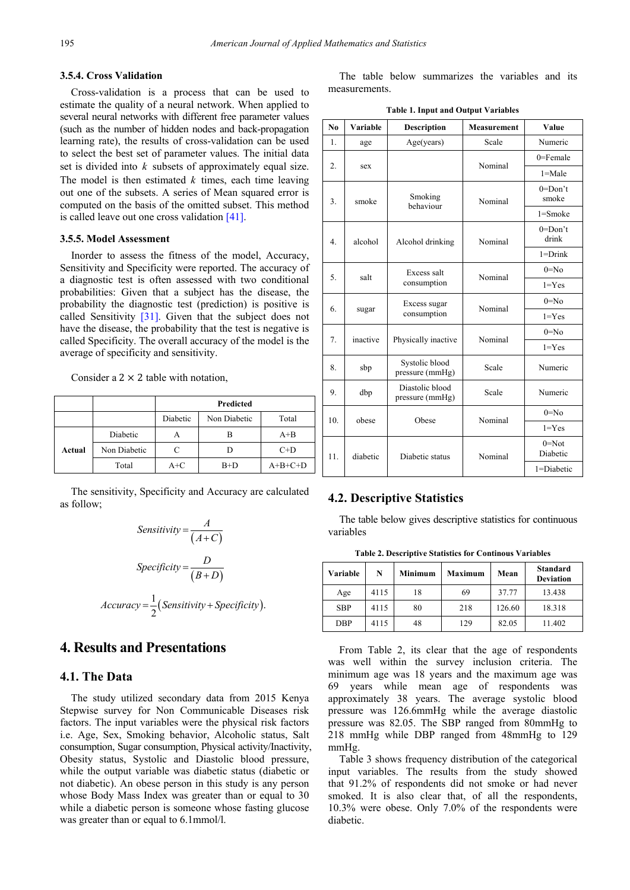#### **3.5.4. Cross Validation**

Cross-validation is a process that can be used to estimate the quality of a neural network. When applied to several neural networks with different free parameter values (such as the number of hidden nodes and back-propagation learning rate), the results of cross-validation can be used to select the best set of parameter values. The initial data set is divided into *k* subsets of approximately equal size. The model is then estimated  $k$  times, each time leaving out one of the subsets. A series of Mean squared error is computed on the basis of the omitted subset. This method is called leave out one cross validatio[n \[41\].](#page-14-31)

#### **3.5.5. Model Assessment**

Inorder to assess the fitness of the model, Accuracy, Sensitivity and Specificity were reported. The accuracy of a diagnostic test is often assessed with two conditional probabilities: Given that a subject has the disease, the probability the diagnostic test (prediction) is positive is called Sensitivity [\[31\].](#page-14-22) Given that the subject does not have the disease, the probability that the test is negative is called Specificity. The overall accuracy of the model is the average of specificity and sensitivity.

Consider a  $2 \times 2$  table with notation,

|        |              | Predicted |              |           |
|--------|--------------|-----------|--------------|-----------|
|        |              | Diabetic  | Non Diabetic | Total     |
|        | Diabetic     |           | в            | $A + B$   |
| Actual | Non Diabetic |           |              | $C+D$     |
|        | Total        | $A+C$     | $B+D$        | $A+B+C+D$ |

The sensitivity, Specificity and Accuracy are calculated as follow;

Sensitivity = 
$$
\frac{A}{(A+C)}
$$
  
Specificity = 
$$
\frac{D}{(B+D)}
$$
  
Accuracy = 
$$
\frac{1}{2}
$$
(Sensitivity + Specificity).

# **4. Results and Presentations**

# **4.1. The Data**

The study utilized secondary data from 2015 Kenya Stepwise survey for Non Communicable Diseases risk factors. The input variables were the physical risk factors i.e. Age, Sex, Smoking behavior, Alcoholic status, Salt consumption, Sugar consumption, Physical activity/Inactivity, Obesity status, Systolic and Diastolic blood pressure, while the output variable was diabetic status (diabetic or not diabetic). An obese person in this study is any person whose Body Mass Index was greater than or equal to 30 while a diabetic person is someone whose fasting glucose was greater than or equal to 6.1mmol/l.

The table below summarizes the variables and its measurements.

|  | <b>Table 1. Input and Output Variables</b> |
|--|--------------------------------------------|
|--|--------------------------------------------|

| N <sub>0</sub>           | Variable | <b>Description</b>                 | <b>Measurement</b> | Value                 |
|--------------------------|----------|------------------------------------|--------------------|-----------------------|
| 1.                       | age      | Age(years)                         | Scale              | Numeric               |
|                          |          |                                    | Nominal            | $0 =$ Female          |
| 2.                       | sex      |                                    |                    | $1 = Male$            |
| 3.                       | smoke    | Smoking                            | Nominal            | $0 =$ Don't<br>smoke  |
|                          |          | behaviour                          |                    | $1 =$ Smoke           |
| 4 <sub>1</sub>           | alcohol  | Alcohol drinking                   | Nominal            | $0 = Don't$<br>drink  |
|                          |          |                                    |                    | $1 = Drink$           |
| 5.                       | salt     | Excess salt                        | Nominal            | $0 = No$              |
|                          |          | consumption                        |                    | $1 = Yes$             |
| 6.                       |          | Excess sugar                       | Nominal            | $0=N_0$               |
|                          | sugar    | consumption                        |                    | $1 = Yes$             |
| 7.                       | inactive | Physically inactive                | Nominal            | $0 = No$              |
|                          |          |                                    |                    | $1 = Yes$             |
| 8.                       | sbp      | Systolic blood<br>pressure (mmHg)  | Scale              | Numeric               |
| 9.                       | dbp      | Diastolic blood<br>pressure (mmHg) | Scale              | Numeric               |
| 10 <sub>1</sub><br>obese |          |                                    | Nominal            | $0 = No$              |
|                          |          | Obese                              |                    | $1 = Yes$             |
| 11.                      | diabetic | Diabetic status                    | Nominal            | $0 = Not$<br>Diabetic |
|                          |          |                                    |                    | 1=Diabetic            |

### **4.2. Descriptive Statistics**

The table below gives descriptive statistics for continuous variables

**Table 2. Descriptive Statistics for Continous Variables**

| Variable   | N    | <b>Minimum</b> | Maximum | Mean   | <b>Standard</b><br><b>Deviation</b> |
|------------|------|----------------|---------|--------|-------------------------------------|
| Age        | 4115 | 18             | 69      | 37.77  | 13.438                              |
| <b>SBP</b> | 4115 | 80             | 218     | 126.60 | 18.318                              |
| <b>DBP</b> | 4115 | 48             | 129     | 82.05  | 11.402                              |

From Table 2, its clear that the age of respondents was well within the survey inclusion criteria. The minimum age was 18 years and the maximum age was 69 years while mean age of respondents was approximately 38 years. The average systolic blood pressure was 126.6mmHg while the average diastolic pressure was 82.05. The SBP ranged from 80mmHg to 218 mmHg while DBP ranged from 48mmHg to 129 mmHg.

Table 3 shows frequency distribution of the categorical input variables. The results from the study showed that 91.2% of respondents did not smoke or had never smoked. It is also clear that, of all the respondents, 10.3% were obese. Only 7.0% of the respondents were diabetic.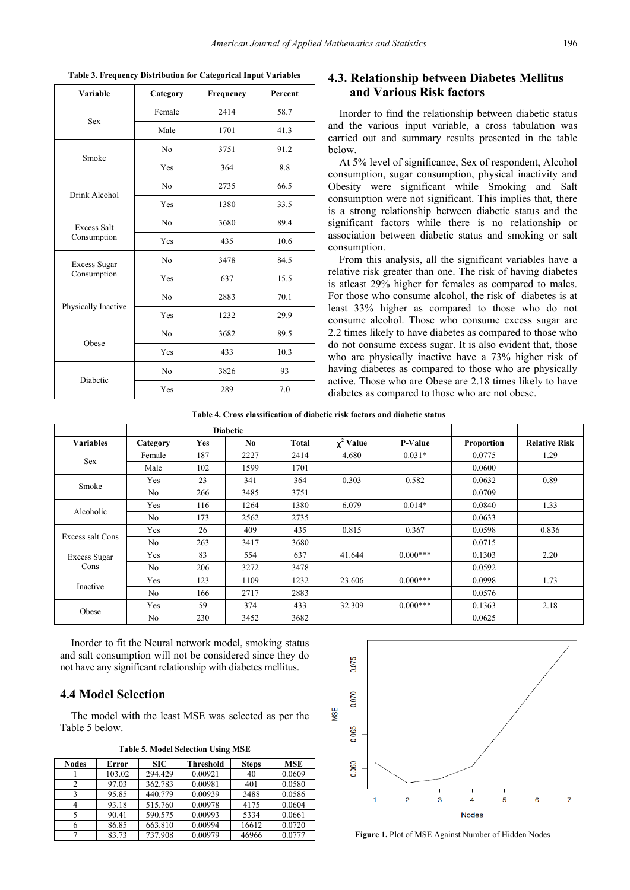| Variable            | Category       | Frequency | Percent |
|---------------------|----------------|-----------|---------|
| <b>Sex</b>          | Female         | 2414      | 58.7    |
|                     | Male           | 1701      | 41.3    |
| Smoke               | N <sub>0</sub> | 3751      | 91.2    |
|                     | Yes            | 364       | 8.8     |
| Drink Alcohol       | N <sub>0</sub> | 2735      | 66.5    |
|                     | Yes            | 1380      | 33.5    |
| <b>Excess Salt</b>  | N <sub>0</sub> | 3680      | 89.4    |
| Consumption         | Yes            | 435       | 10.6    |
| Excess Sugar        | N <sub>0</sub> | 3478      | 84.5    |
| Consumption         | Yes            | 637       | 15.5    |
| Physically Inactive | N <sub>0</sub> | 2883      | 70.1    |
|                     | Yes            | 1232      | 29.9    |
| Obese               | N <sub>0</sub> | 3682      | 89.5    |
|                     | Yes            | 433       | 10.3    |
| Diabetic            | N <sub>0</sub> | 3826      | 93      |
|                     | Yes            | 289       | 7.0     |

**Table 3. Frequency Distribution for Categorical Input Variables**

# **4.3. Relationship between Diabetes Mellitus and Various Risk factors**

Inorder to find the relationship between diabetic status and the various input variable, a cross tabulation was carried out and summary results presented in the table below.

At 5% level of significance, Sex of respondent, Alcohol consumption, sugar consumption, physical inactivity and Obesity were significant while Smoking and Salt consumption were not significant. This implies that, there is a strong relationship between diabetic status and the significant factors while there is no relationship or association between diabetic status and smoking or salt consumption.

From this analysis, all the significant variables have a relative risk greater than one. The risk of having diabetes is atleast 29% higher for females as compared to males. For those who consume alcohol, the risk of diabetes is at least 33% higher as compared to those who do not consume alcohol. Those who consume excess sugar are 2.2 times likely to have diabetes as compared to those who do not consume excess sugar. It is also evident that, those who are physically inactive have a 73% higher risk of having diabetes as compared to those who are physically active. Those who are Obese are 2.18 times likely to have diabetes as compared to those who are not obese.

**Table 4. Cross classification of diabetic risk factors and diabetic status**

|                  |                |            | <b>Diabetic</b> |       |                |                |                   |                      |
|------------------|----------------|------------|-----------------|-------|----------------|----------------|-------------------|----------------------|
| <b>Variables</b> | Category       | <b>Yes</b> | No.             | Total | $\chi^2$ Value | <b>P-Value</b> | <b>Proportion</b> | <b>Relative Risk</b> |
| Sex              | Female         | 187        | 2227            | 2414  | 4.680          | $0.031*$       | 0.0775            | 1.29                 |
|                  | Male           | 102        | 1599            | 1701  |                |                | 0.0600            |                      |
| Smoke            | Yes            | 23         | 341             | 364   | 0.303          | 0.582          | 0.0632            | 0.89                 |
|                  | N <sub>0</sub> | 266        | 3485            | 3751  |                |                | 0.0709            |                      |
| Alcoholic        | Yes            | 116        | 1264            | 1380  | 6.079          | $0.014*$       | 0.0840            | 1.33                 |
|                  | N <sub>0</sub> | 173        | 2562            | 2735  |                |                | 0.0633            |                      |
| Excess salt Cons | Yes            | 26         | 409             | 435   | 0.815          | 0.367          | 0.0598            | 0.836                |
|                  | N <sub>0</sub> | 263        | 3417            | 3680  |                |                | 0.0715            |                      |
| Excess Sugar     | Yes            | 83         | 554             | 637   | 41.644         | $0.000***$     | 0.1303            | 2.20                 |
| Cons             | N <sub>0</sub> | 206        | 3272            | 3478  |                |                | 0.0592            |                      |
| Inactive         | Yes            | 123        | 1109            | 1232  | 23.606         | $0.000***$     | 0.0998            | 1.73                 |
|                  | N <sub>0</sub> | 166        | 2717            | 2883  |                |                | 0.0576            |                      |
|                  | Yes            | 59         | 374             | 433   | 32.309         | $0.000***$     | 0.1363            | 2.18                 |
| Obese            | N <sub>0</sub> | 230        | 3452            | 3682  |                |                | 0.0625            |                      |

Inorder to fit the Neural network model, smoking status and salt consumption will not be considered since they do not have any significant relationship with diabetes mellitus.

### **4.4 Model Selection**

The model with the least MSE was selected as per the Table 5 below.

**Table 5. Model Selection Using MSE**

| <b>Nodes</b> | Error  | SIC     | Threshold | <b>Steps</b> | <b>MSE</b> |
|--------------|--------|---------|-----------|--------------|------------|
|              | 103.02 | 294.429 | 0.00921   | 40           | 0.0609     |
|              | 97.03  | 362.783 | 0.00981   | 401          | 0.0580     |
|              | 95.85  | 440.779 | 0.00939   | 3488         | 0.0586     |
|              | 93.18  | 515.760 | 0.00978   | 4175         | 0.0604     |
|              | 90.41  | 590.575 | 0.00993   | 5334         | 0.0661     |
| 6            | 86.85  | 663.810 | 0.00994   | 16612        | 0.0720     |
|              | 83.73  | 737.908 | 0.00979   | 46966        | 0.0777     |



Figure 1. Plot of MSE Against Number of Hidden Nodes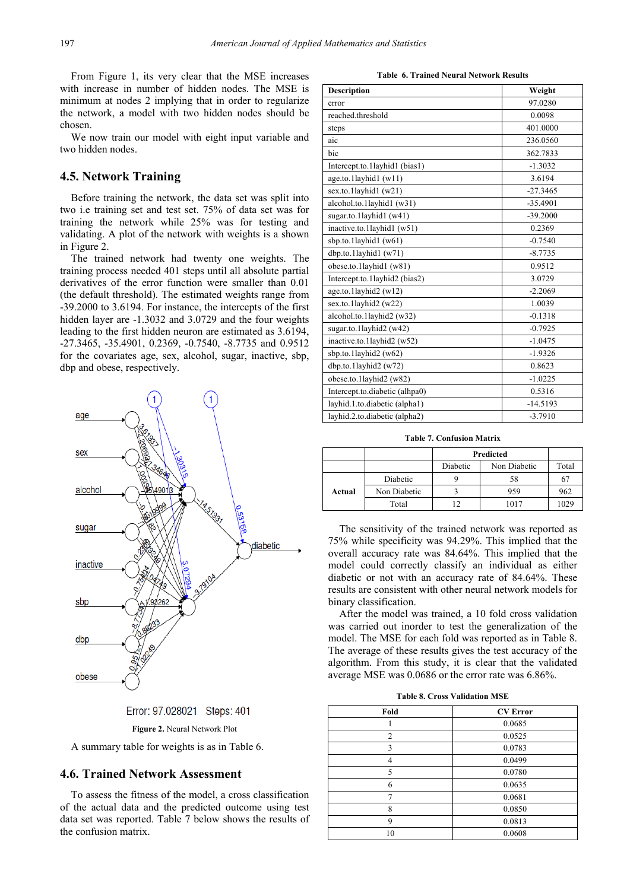From Figure 1, its very clear that the MSE increases with increase in number of hidden nodes. The MSE is minimum at nodes 2 implying that in order to regularize the network, a model with two hidden nodes should be chosen.

We now train our model with eight input variable and two hidden nodes.

### **4.5. Network Training**

Before training the network, the data set was split into two i.e training set and test set. 75% of data set was for training the network while 25% was for testing and validating. A plot of the network with weights is a shown in Figure 2.

The trained network had twenty one weights. The training process needed 401 steps until all absolute partial derivatives of the error function were smaller than 0.01 (the default threshold). The estimated weights range from -39.2000 to 3.6194. For instance, the intercepts of the first hidden layer are -1.3032 and 3.0729 and the four weights leading to the first hidden neuron are estimated as 3.6194, -27.3465, -35.4901, 0.2369, -0.7540, -8.7735 and 0.9512 for the covariates age, sex, alcohol, sugar, inactive, sbp, dbp and obese, respectively.





**Figure 2.** Neural Network Plot

A summary table for weights is as in Table 6.

#### **4.6. Trained Network Assessment**

To assess the fitness of the model, a cross classification of the actual data and the predicted outcome using test data set was reported. Table 7 below shows the results of the confusion matrix.

**Table 6. Trained Neural Network Results**

| <b>Description</b>             | Weight     |
|--------------------------------|------------|
| error                          | 97.0280    |
| reached.threshold              | 0.0098     |
| steps                          | 401.0000   |
| aic                            | 236.0560   |
| bic                            | 362.7833   |
| Intercept.to.1layhid1 (bias1)  | $-1.3032$  |
| age.to.1layhid1 (w11)          | 3.6194     |
| sex.to.1layhid1 (w21)          | $-27.3465$ |
| alcohol.to.1layhid1 (w31)      | $-35.4901$ |
| sugar.to.1layhid1 (w41)        | $-39.2000$ |
| inactive.to.1layhid1 (w51)     | 0.2369     |
| sbp.to.1layhid1 (w61)          | $-0.7540$  |
| dbp.to.1layhid1 (w71)          | $-8.7735$  |
| obese.to.1layhid1 (w81)        | 0.9512     |
| Intercept.to.1layhid2 (bias2)  | 3.0729     |
| age.to.1layhid2 (w12)          | $-2.2069$  |
| sex.to.1layhid2 (w22)          | 1.0039     |
| alcohol.to.1layhid2 (w32)      | $-0.1318$  |
| sugar.to.1layhid2 (w42)        | $-0.7925$  |
| inactive.to.1layhid2 (w52)     | $-1.0475$  |
| sbp.to.1layhid2 (w62)          | $-1.9326$  |
| dbp.to.1layhid2 (w72)          | 0.8623     |
| obese.to.1layhid2 (w82)        | $-1.0225$  |
| Intercept.to.diabetic (alhpa0) | 0.5316     |
| layhid.1.to.diabetic (alpha1)  | $-14.5193$ |
| layhid.2.to.diabetic (alpha2)  | $-3.7910$  |

**Table 7. Confusion Matrix**

|        |              | Predicted |              |       |
|--------|--------------|-----------|--------------|-------|
|        |              | Diabetic  | Non Diabetic | Total |
|        | Diabetic     |           | 58           |       |
| Actual | Non Diabetic |           | 959          | 962   |
|        | Total        | 12        | 1017         | 1029  |

The sensitivity of the trained network was reported as 75% while specificity was 94.29%. This implied that the overall accuracy rate was 84.64%. This implied that the model could correctly classify an individual as either diabetic or not with an accuracy rate of 84.64%. These results are consistent with other neural network models for binary classification.

After the model was trained, a 10 fold cross validation was carried out inorder to test the generalization of the model. The MSE for each fold was reported as in Table 8. The average of these results gives the test accuracy of the algorithm. From this study, it is clear that the validated average MSE was 0.0686 or the error rate was 6.86%.

**Table 8. Cross Validation MSE** 

| Fold           | <b>CV</b> Error |
|----------------|-----------------|
|                | 0.0685          |
| $\overline{c}$ | 0.0525          |
| 3              | 0.0783          |
|                | 0.0499          |
| 5              | 0.0780          |
| 6              | 0.0635          |
|                | 0.0681          |
| 8              | 0.0850          |
| 9              | 0.0813          |
| 10             | 0.0608          |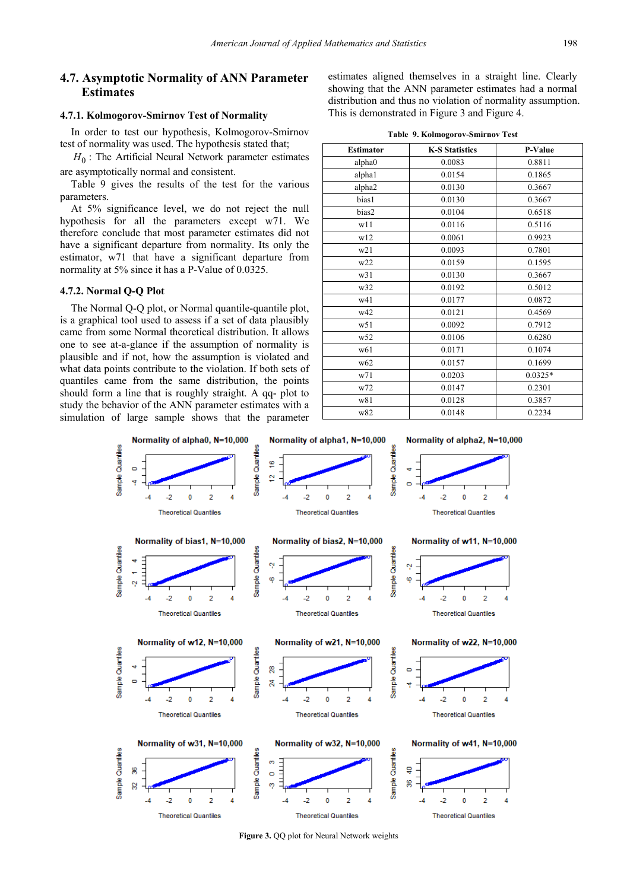# **4.7. Asymptotic Normality of ANN Parameter Estimates**

#### **4.7.1. Kolmogorov-Smirnov Test of Normality**

In order to test our hypothesis, Kolmogorov-Smirnov test of normality was used. The hypothesis stated that;

 $H_0$ : The Artificial Neural Network parameter estimates are asymptotically normal and consistent.

Table 9 gives the results of the test for the various parameters.

At 5% significance level, we do not reject the null hypothesis for all the parameters except w71. We therefore conclude that most parameter estimates did not have a significant departure from normality. Its only the estimator, w71 that have a significant departure from normality at 5% since it has a P-Value of 0.0325.

#### **4.7.2. Normal Q-Q Plot**

The Normal Q-Q plot, or Normal quantile-quantile plot, is a graphical tool used to assess if a set of data plausibly came from some Normal theoretical distribution. It allows one to see at-a-glance if the assumption of normality is plausible and if not, how the assumption is violated and what data points contribute to the violation. If both sets of quantiles came from the same distribution, the points should form a line that is roughly straight. A qq- plot to study the behavior of the ANN parameter estimates with a simulation of large sample shows that the parameter

estimates aligned themselves in a straight line. Clearly showing that the ANN parameter estimates had a normal distribution and thus no violation of normality assumption. This is demonstrated in Figure 3 and Figure 4.

|  |  | Table 9. Kolmogorov-Smirnov Test |  |
|--|--|----------------------------------|--|
|--|--|----------------------------------|--|

| <b>Estimator</b> | <b>K-S Statistics</b> | P-Value   |
|------------------|-----------------------|-----------|
| alpha0           | 0.0083                | 0.8811    |
| alpha1           | 0.0154                | 0.1865    |
| alpha2           | 0.0130                | 0.3667    |
| bias1            | 0.0130                | 0.3667    |
| bias2            | 0.0104                | 0.6518    |
| w11              | 0.0116                | 0.5116    |
| w12              | 0.0061                | 0.9923    |
| w21              | 0.0093                | 0.7801    |
| w22              | 0.0159                | 0.1595    |
| w31              | 0.0130                | 0.3667    |
| w32              | 0.0192                | 0.5012    |
| w41              | 0.0177                | 0.0872    |
| w42              | 0.0121                | 0.4569    |
| w51              | 0.0092                | 0.7912    |
| w52              | 0.0106                | 0.6280    |
| w61              | 0.0171                | 0.1074    |
| w <sub>62</sub>  | 0.0157                | 0.1699    |
| w71              | 0.0203                | $0.0325*$ |
| w72              | 0.0147                | 0.2301    |
| w81              | 0.0128                | 0.3857    |
| w82              | 0.0148                | 0.2234    |



**Figure 3.** QQ plot for Neural Network weights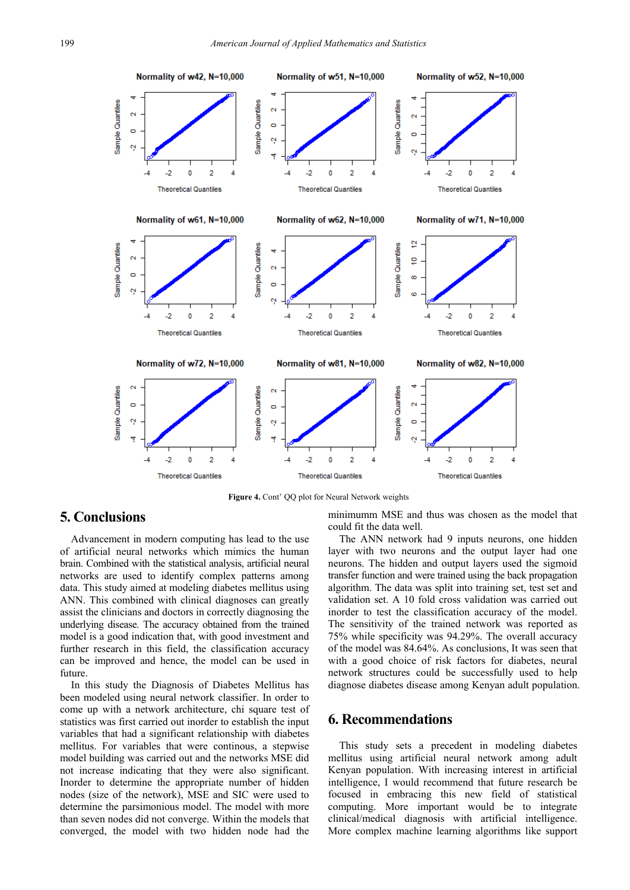

Figure 4. Cont' QQ plot for Neural Network weights

# **5. Conclusions**

Advancement in modern computing has lead to the use of artificial neural networks which mimics the human brain. Combined with the statistical analysis, artificial neural networks are used to identify complex patterns among data. This study aimed at modeling diabetes mellitus using ANN. This combined with clinical diagnoses can greatly assist the clinicians and doctors in correctly diagnosing the underlying disease. The accuracy obtained from the trained model is a good indication that, with good investment and further research in this field, the classification accuracy can be improved and hence, the model can be used in future.

In this study the Diagnosis of Diabetes Mellitus has been modeled using neural network classifier. In order to come up with a network architecture, chi square test of statistics was first carried out inorder to establish the input variables that had a significant relationship with diabetes mellitus. For variables that were continous, a stepwise model building was carried out and the networks MSE did not increase indicating that they were also significant. Inorder to determine the appropriate number of hidden nodes (size of the network), MSE and SIC were used to determine the parsimonious model. The model with more than seven nodes did not converge. Within the models that converged, the model with two hidden node had the

minimumm MSE and thus was chosen as the model that could fit the data well.

The ANN network had 9 inputs neurons, one hidden layer with two neurons and the output layer had one neurons. The hidden and output layers used the sigmoid transfer function and were trained using the back propagation algorithm. The data was split into training set, test set and validation set. A 10 fold cross validation was carried out inorder to test the classification accuracy of the model. The sensitivity of the trained network was reported as 75% while specificity was 94.29%. The overall accuracy of the model was 84.64%. As conclusions, It was seen that with a good choice of risk factors for diabetes, neural network structures could be successfully used to help diagnose diabetes disease among Kenyan adult population.

# **6. Recommendations**

This study sets a precedent in modeling diabetes mellitus using artificial neural network among adult Kenyan population. With increasing interest in artificial intelligence, I would recommend that future research be focused in embracing this new field of statistical computing. More important would be to integrate clinical/medical diagnosis with artificial intelligence. More complex machine learning algorithms like support